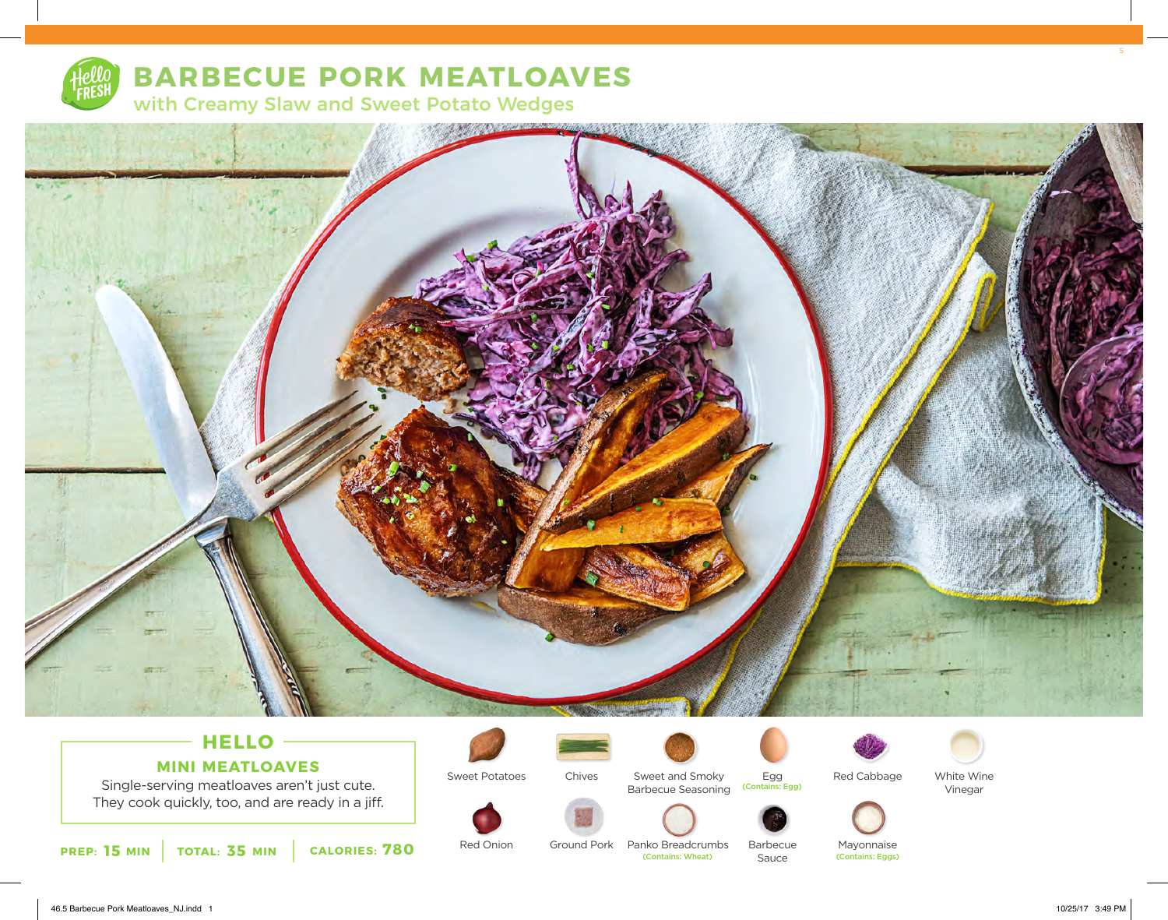

# **BARBECUE PORK MEATLOAVES**

with Creamy Slaw and Sweet Potato Wedges



# **HELLO MINI MEATLOAVES**

Single-serving meatloaves aren't just cute. They cook quickly, too, and are ready in a jiff.





Sweet Potatoes

Red Onion



Ground Pork Panko Breadcrumbs

Chives

Sweet and Smoky Barbecue Seasoning



Barbecue Sauce



White Wine



Mayonnaise<br>(Contains: Eggs)

Vinegar